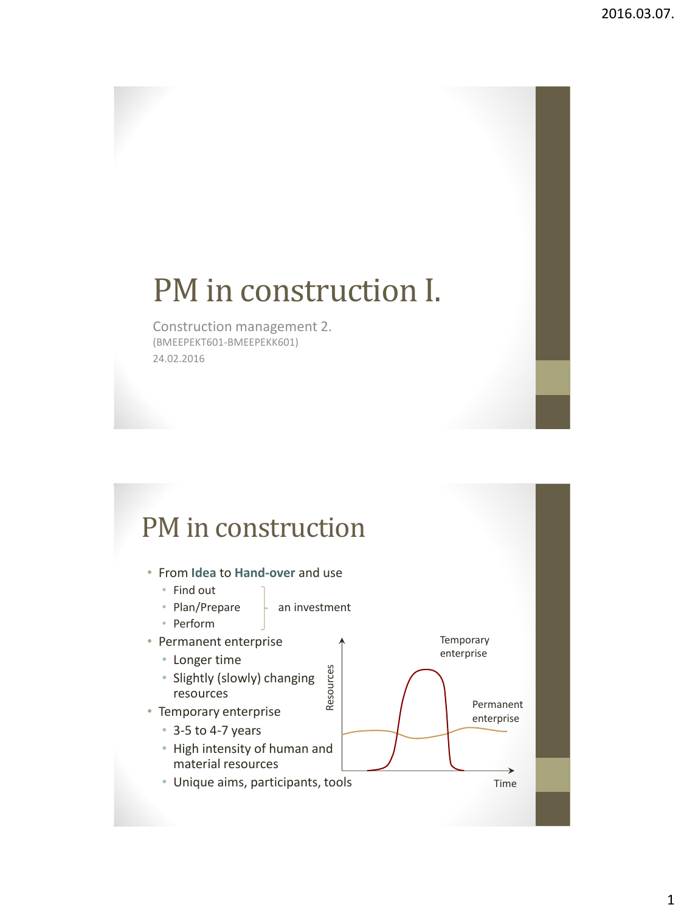# PM in construction I.

Construction management 2. (BMEEPEKT601-BMEEPEKK601) 24.02.2016

#### PM in construction

- From **Idea** to **Hand-over** and use
	- Find out
	- Plan/Prepare  $\vert$  an investment
	- Perform
- Permanent enterprise
	- Longer time
	- Slightly (slowly) changing resources
- Temporary enterprise
	- 3-5 to 4-7 years
	- High intensity of human and material resources
	-

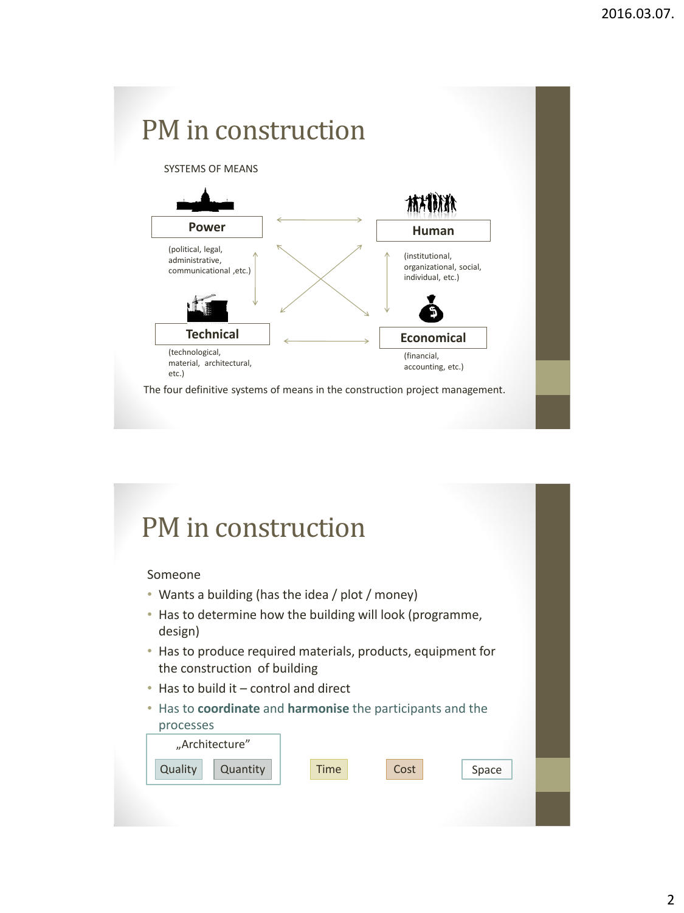

#### PM in construction

#### Someone

- Wants a building (has the idea / plot / money)
- Has to determine how the building will look (programme, design)
- Has to produce required materials, products, equipment for the construction of building
- Has to build it control and direct
- Has to **coordinate** and **harmonise** the participants and the processes

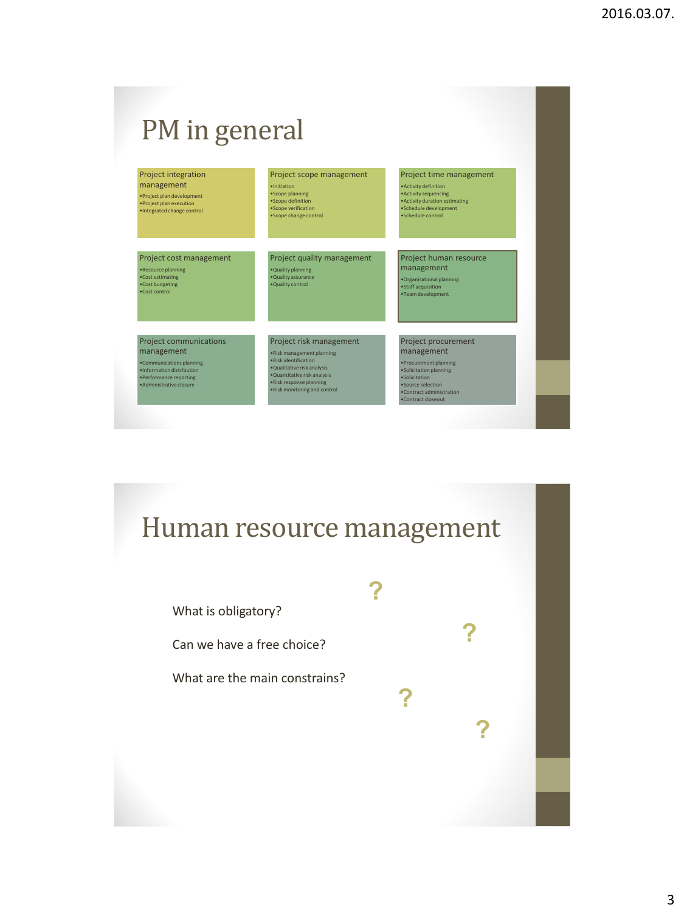| <b>Project integration</b><br>management              | Project scope management                               | Project time management                                                          |
|-------------------------------------------------------|--------------------------------------------------------|----------------------------------------------------------------------------------|
| ·Project plan development<br>·Project plan execution  | ·Initiation<br>•Scope planning<br>·Scope definition    | · Activity definition<br>• Activity sequencing<br>· Activity duration estimating |
| ·Integrated change control                            | ·Scope verification<br>• Scope change control          | •Schedule development<br>·Schedule control                                       |
|                                                       |                                                        |                                                                                  |
| Project cost management                               | Project quality management                             | Project human resource                                                           |
| •Resource planning<br>•Cost estimating                | . Quality planning<br>. Quality assurance              | management<br>·Organisational planning                                           |
| •Cost budgeting<br>•Cost control                      | . Quality control                                      | ·Staff acquisition<br>•Team development                                          |
|                                                       |                                                        |                                                                                  |
|                                                       |                                                        |                                                                                  |
|                                                       |                                                        |                                                                                  |
|                                                       | Project risk management                                | Project procurement                                                              |
| <b>Project communications</b><br>management           | . Risk management planning                             | management                                                                       |
| ·Communications planning<br>·Information distribution | · Risk identification<br>· Qualitative risk analysis   | ·Procurement planning<br>·Solicitation planning                                  |
| ·Performance reporting<br>· Administrative closure    | ·Quantitative risk analysis<br>.Risk response planning | ·Solicitation<br>·Source selection                                               |

### Human resource management

#### What is obligatory?

Can we have a free choice?

What are the main constrains?



**?**

**?**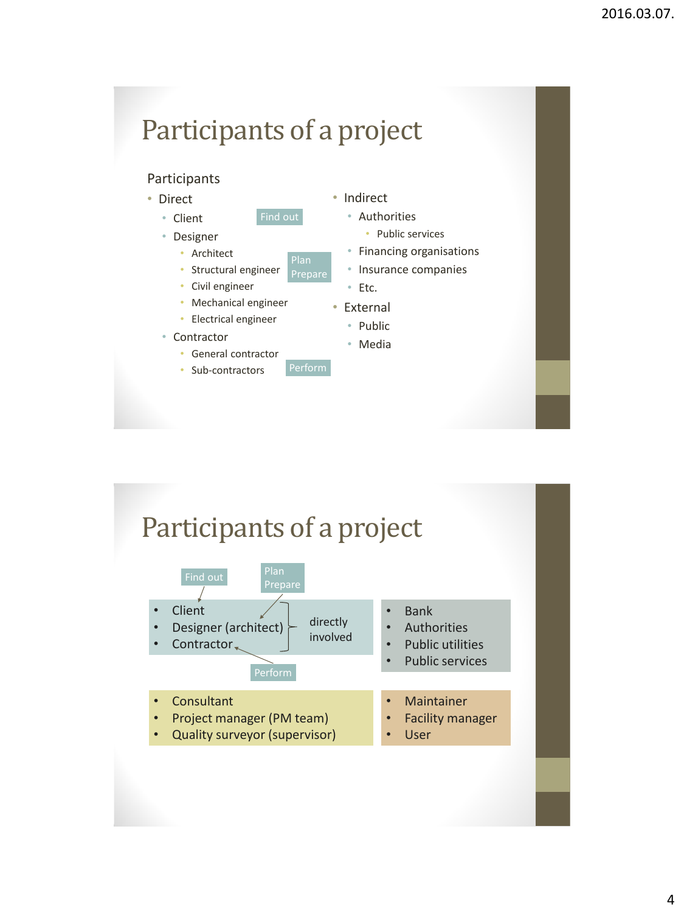#### Participants

- Direct
	- Client
		-
	- Designer • Architect
		- Structural engineer Plan
		- Civil engineer
		- Mechanical engineer
		- Electrical engineer
	- Contractor
		- General contractor
		- Sub-contractors
- Indirect
	- Authorities
		- Public services
	- Financing organisations
	- Insurance companies
	- Etc.
- External
	- Public
	- Media

#### Participants of a project

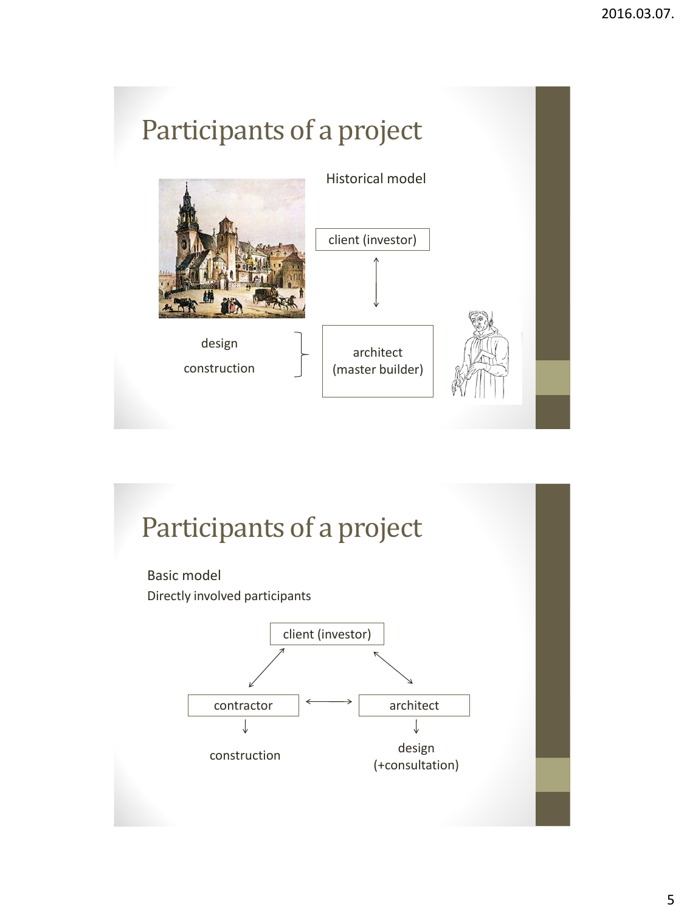

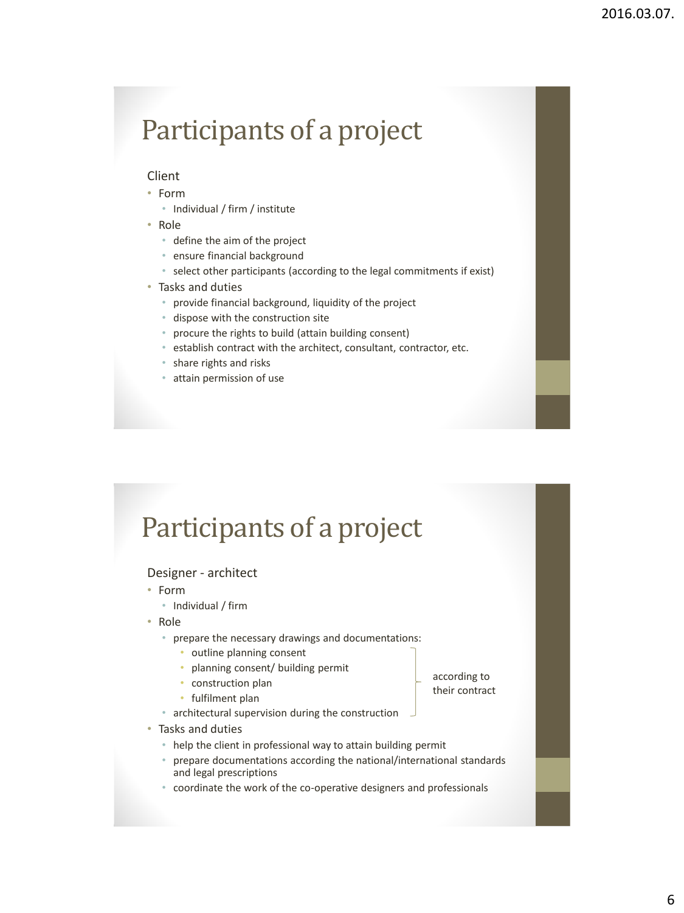#### Client

- Form
	- Individual / firm / institute
- Role
	- define the aim of the project
	- ensure financial background
	- select other participants (according to the legal commitments if exist)
- Tasks and duties
	- provide financial background, liquidity of the project
	- dispose with the construction site
	- procure the rights to build (attain building consent)
	- establish contract with the architect, consultant, contractor, etc.
	- share rights and risks
	- attain permission of use

### Participants of a project

#### Designer - architect

- Form
	- Individual / firm
- Role
	- prepare the necessary drawings and documentations:
		- outline planning consent
		- planning consent/ building permit
		- construction plan
		- fulfilment plan
	- architectural supervision during the construction
- Tasks and duties
	- help the client in professional way to attain building permit
	- prepare documentations according the national/international standards and legal prescriptions
	- coordinate the work of the co-operative designers and professionals

according to their contract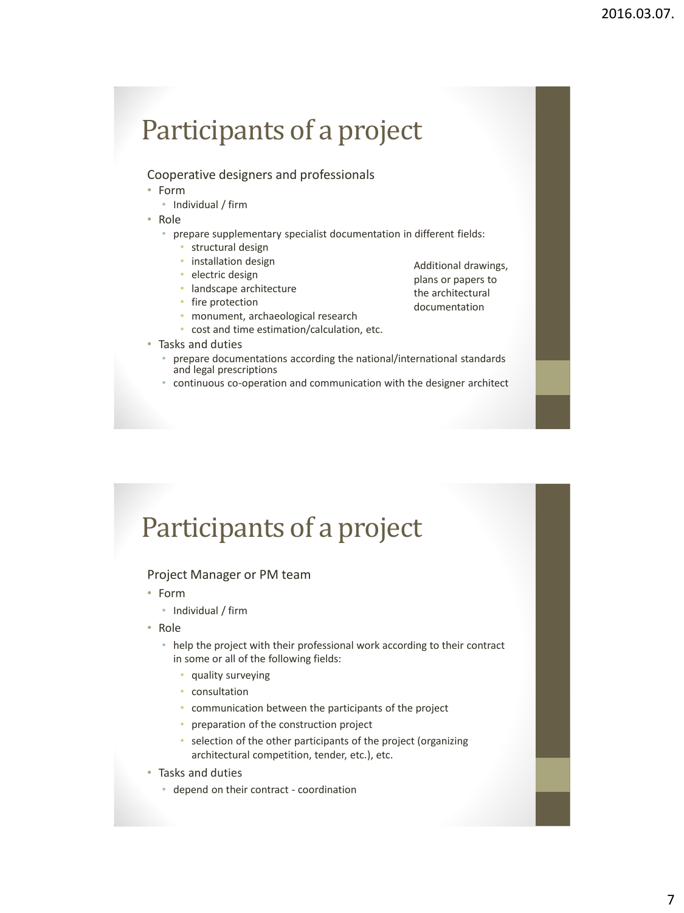#### Cooperative designers and professionals

- Form
	- Individual / firm
- Role
	- prepare supplementary specialist documentation in different fields:
		- structural design
		- installation design
		- electric design
		- landscape architecture
		- fire protection
		- monument, archaeological research
		- cost and time estimation/calculation, etc.
- Tasks and duties
	- prepare documentations according the national/international standards and legal prescriptions
	- continuous co-operation and communication with the designer architect

Additional drawings, plans or papers to the architectural documentation

### Participants of a project

#### Project Manager or PM team

- Form
	- Individual / firm
- Role
	- help the project with their professional work according to their contract in some or all of the following fields:
		- quality surveying
		- consultation
		- communication between the participants of the project
		- preparation of the construction project
		- selection of the other participants of the project (organizing architectural competition, tender, etc.), etc.
- Tasks and duties
	- depend on their contract coordination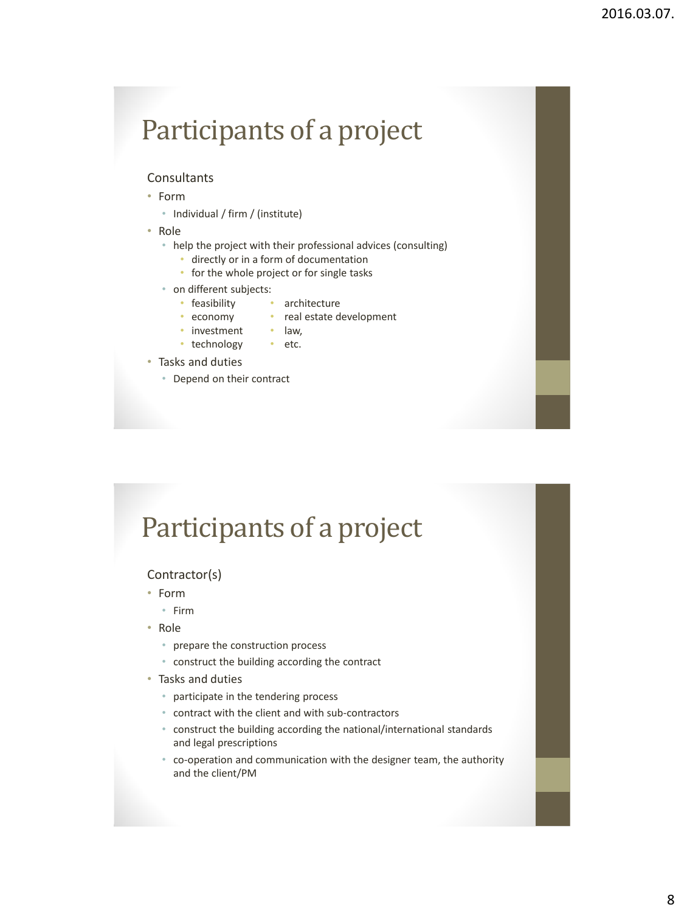#### **Consultants**

- Form
	- Individual / firm / (institute)
- Role
	- help the project with their professional advices (consulting)
		- directly or in a form of documentation
		- for the whole project or for single tasks
	- on different subjects:
		- feasibility • architecture
		- economy • real estate development
		- investment • law,
		- technology • etc.
- Tasks and duties
	- Depend on their contract

#### Participants of a project

#### Contractor(s)

- Form
	- Firm
- Role
	- prepare the construction process
	- construct the building according the contract
- Tasks and duties
	- participate in the tendering process
	- contract with the client and with sub-contractors
	- construct the building according the national/international standards and legal prescriptions
	- co-operation and communication with the designer team, the authority and the client/PM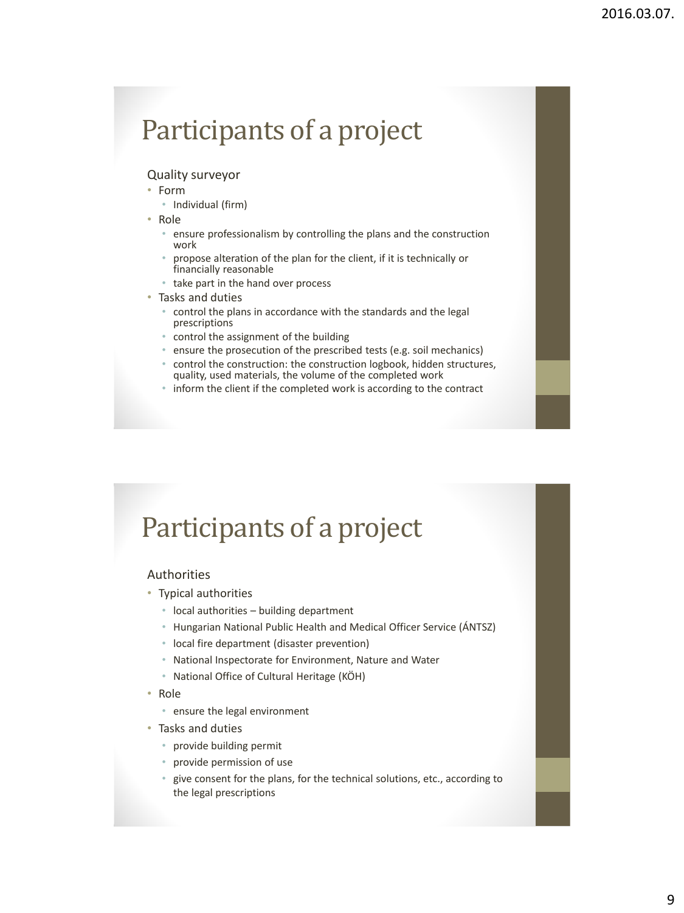#### Quality surveyor

- Form
	- Individual (firm)
- Role
	- ensure professionalism by controlling the plans and the construction work
	- propose alteration of the plan for the client, if it is technically or financially reasonable
	- take part in the hand over process
- Tasks and duties
	- control the plans in accordance with the standards and the legal prescriptions
	- control the assignment of the building
	- ensure the prosecution of the prescribed tests (e.g. soil mechanics)
	- control the construction: the construction logbook, hidden structures, quality, used materials, the volume of the completed work
	- inform the client if the completed work is according to the contract

### Participants of a project

#### Authorities

- Typical authorities
	- local authorities building department
	- Hungarian National Public Health and Medical Officer Service (ÁNTSZ)
	- local fire department (disaster prevention)
	- National Inspectorate for Environment, Nature and Water
	- National Office of Cultural Heritage (KÖH)
- Role
	- ensure the legal environment
- Tasks and duties
	- provide building permit
	- provide permission of use
	- give consent for the plans, for the technical solutions, etc., according to the legal prescriptions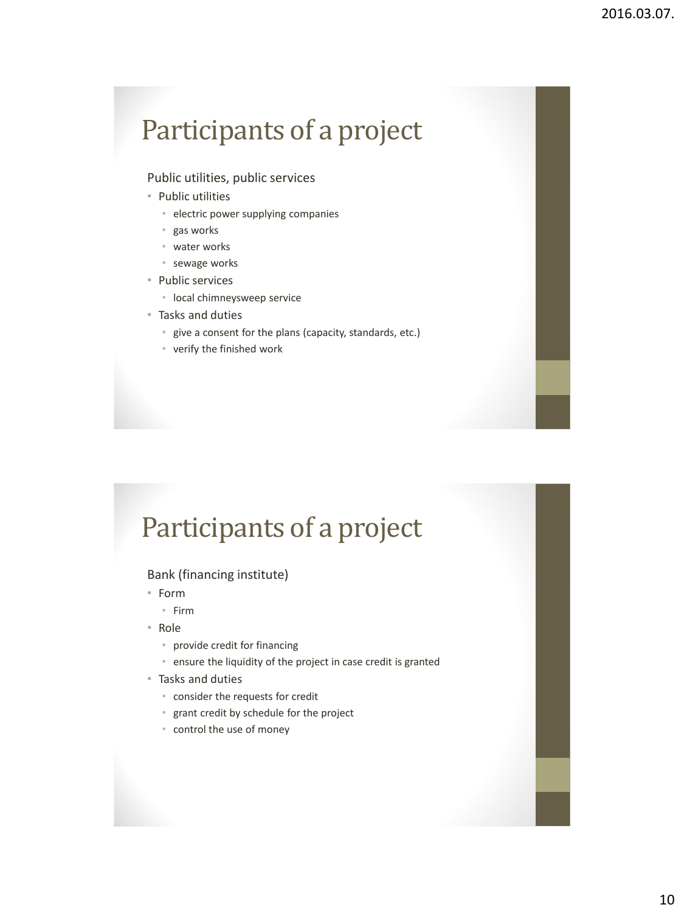#### Public utilities, public services

- Public utilities
	- electric power supplying companies
	- gas works
	- water works
	- sewage works
- Public services
	- local chimneysweep service
- Tasks and duties
	- give a consent for the plans (capacity, standards, etc.)
	- verify the finished work

### Participants of a project

#### Bank (financing institute)

- Form
	- Firm
- Role
	- provide credit for financing
	- ensure the liquidity of the project in case credit is granted
- Tasks and duties
	- consider the requests for credit
	- grant credit by schedule for the project
	- control the use of money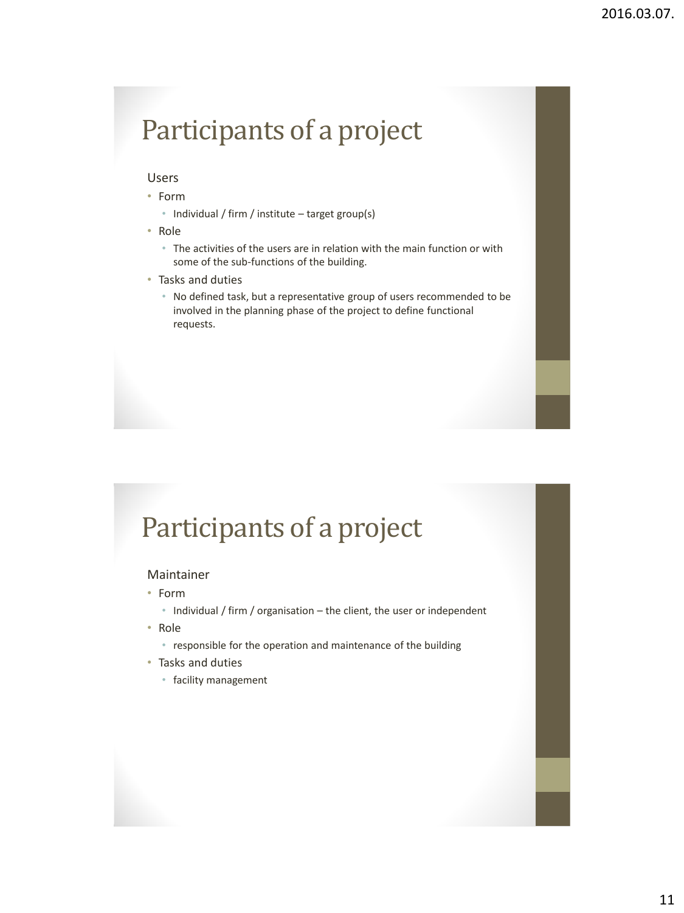#### Users

- Form
	- Individual / firm / institute target group(s)
- Role
	- The activities of the users are in relation with the main function or with some of the sub-functions of the building.
- Tasks and duties
	- No defined task, but a representative group of users recommended to be involved in the planning phase of the project to define functional requests.

### Participants of a project

#### Maintainer

- Form
	- Individual / firm / organisation the client, the user or independent
- Role
	- responsible for the operation and maintenance of the building
- Tasks and duties
	- facility management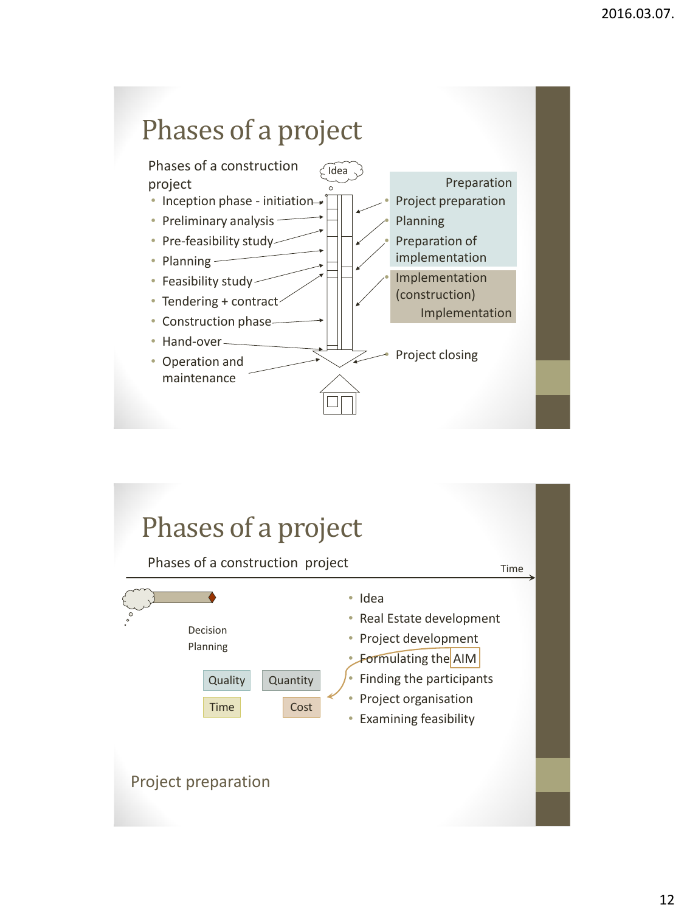

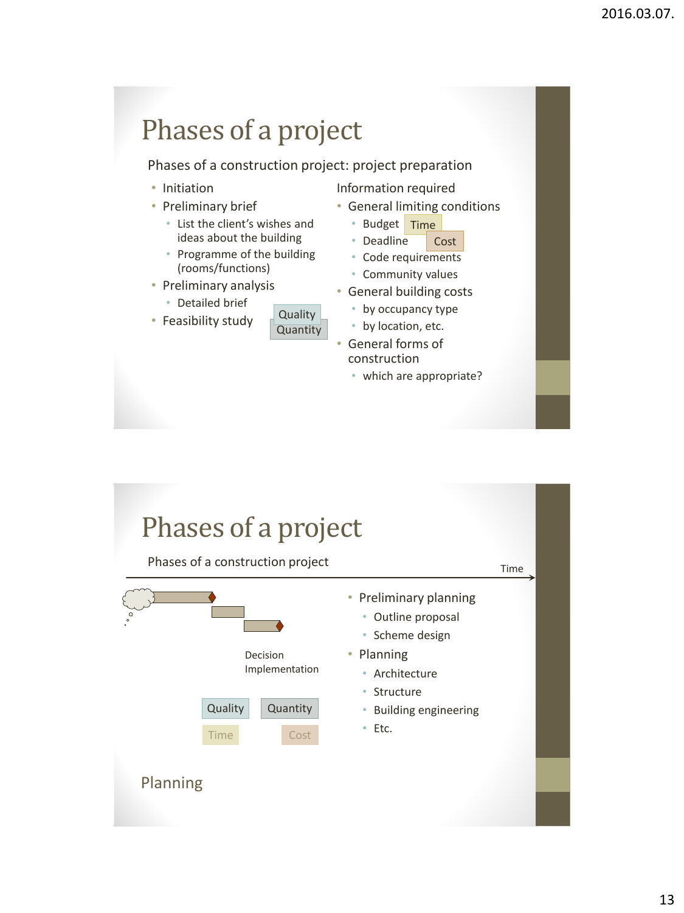Phases of a construction project: project preparation

- Initiation
- Preliminary brief
	- List the client's wishes and ideas about the building
	- Programme of the building (rooms/functions)
- Preliminary analysis
- Detailed brief
- Feasibility study



- Information required
- General limiting conditions
	- Budget Time
	- Deadline Cost
	- Code requirements
	- Community values
- General building costs
	- by occupancy type
	- by location, etc.
- General forms of construction
	- which are appropriate?

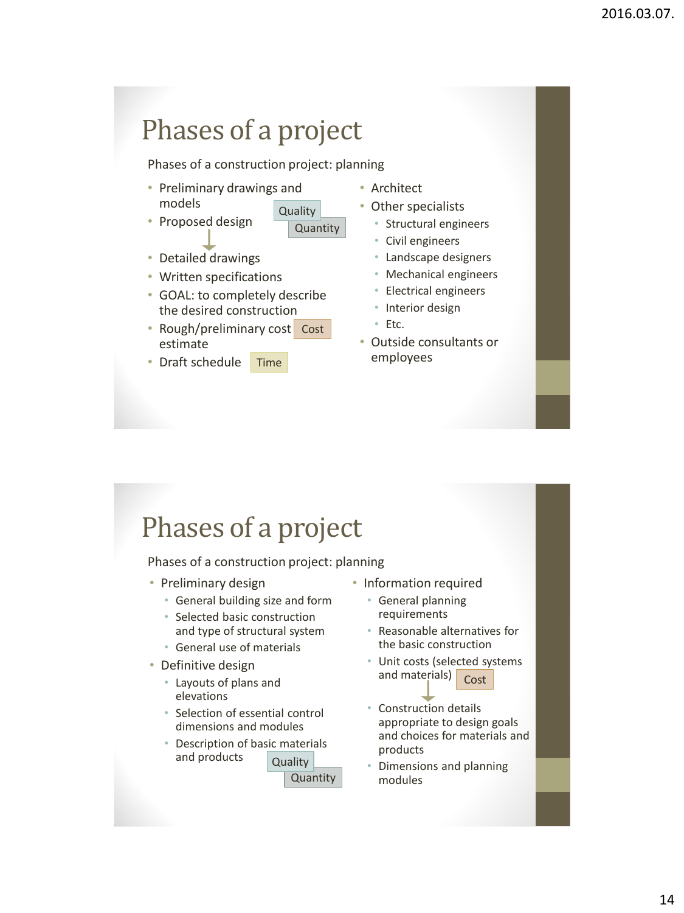Phases of a construction project: planning

• Preliminary drawings and models

• Proposed design

**Quantity Quality** 

- Detailed drawings
- Written specifications
- GOAL: to completely describe the desired construction
- Rough/preliminary cost Cost estimate
- Draft schedule Time
- Architect
- Other specialists
	- Structural engineers
	- Civil engineers
	- Landscape designers
	- Mechanical engineers
	- Electrical engineers
	- Interior design
	- Etc.
- Outside consultants or employees

### Phases of a project

Phases of a construction project: planning

- Preliminary design
	- General building size and form
	- Selected basic construction and type of structural system
	- General use of materials
- Definitive design
	- Layouts of plans and elevations
	- Selection of essential control dimensions and modules
	- Description of basic materials and products **Quality**

**Quantity** 

- Information required
	- General planning requirements
	- Reasonable alternatives for the basic construction
	- Unit costs (selected systems and materials) Cost
	- Construction details appropriate to design goals and choices for materials and products
	- Dimensions and planning modules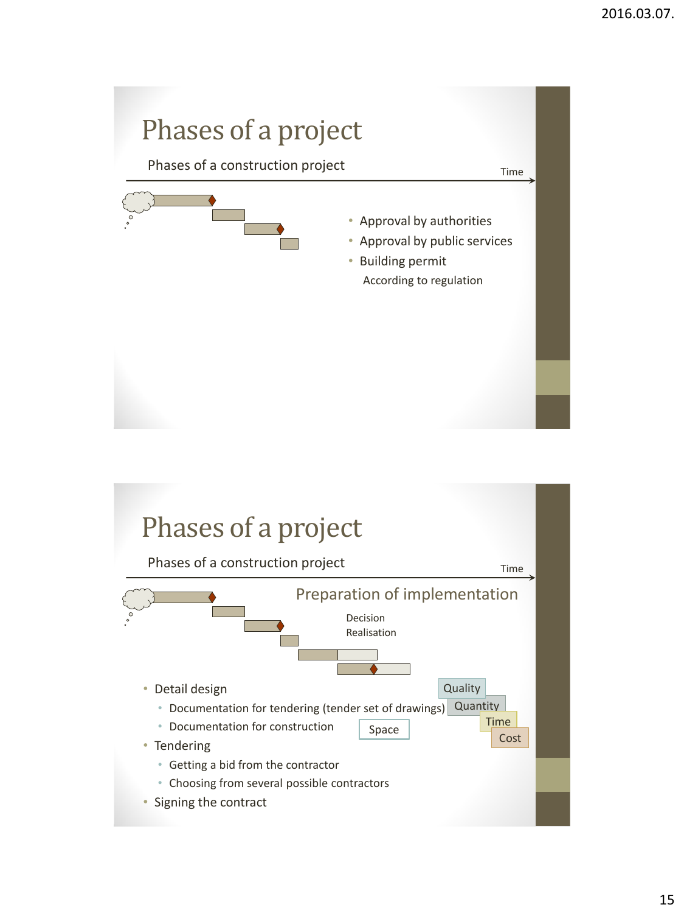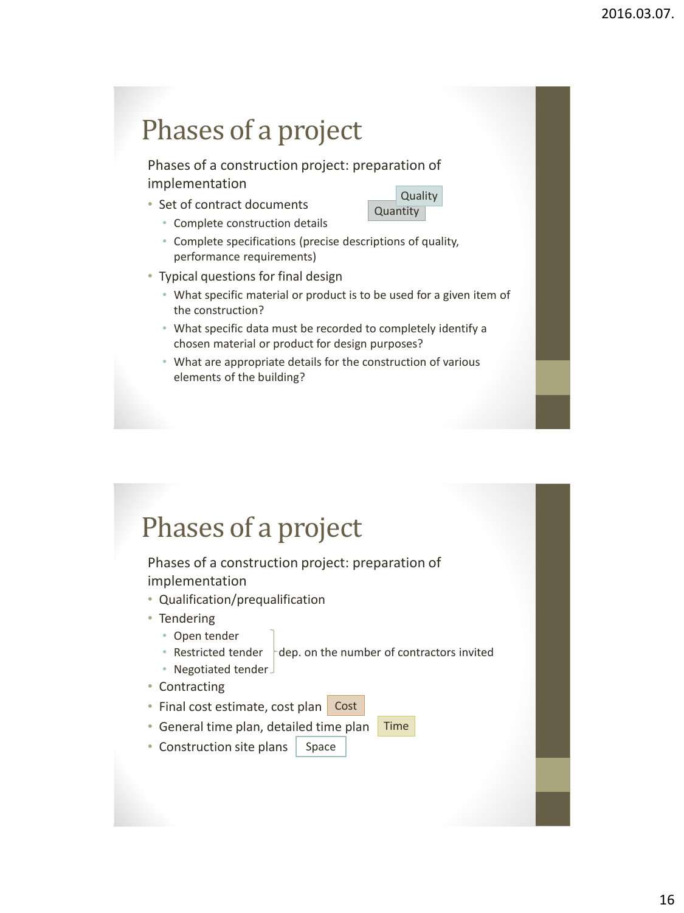Phases of a construction project: preparation of implementation

• Set of contract documents

**Quantity Quality** 

- Complete construction details
- Complete specifications (precise descriptions of quality, performance requirements)
- Typical questions for final design
	- What specific material or product is to be used for a given item of the construction?
	- What specific data must be recorded to completely identify a chosen material or product for design purposes?
	- What are appropriate details for the construction of various elements of the building?

### Phases of a project

Phases of a construction project: preparation of implementation

- Qualification/prequalification
- Tendering
	- Open tender
	- Restricted tender  $\frac{1}{2}$  dep. on the number of contractors invited
	- Negotiated tender
- Contracting
- Final cost estimate, cost plan Cost
- General time plan, detailed time plan Time
- Construction site plans Space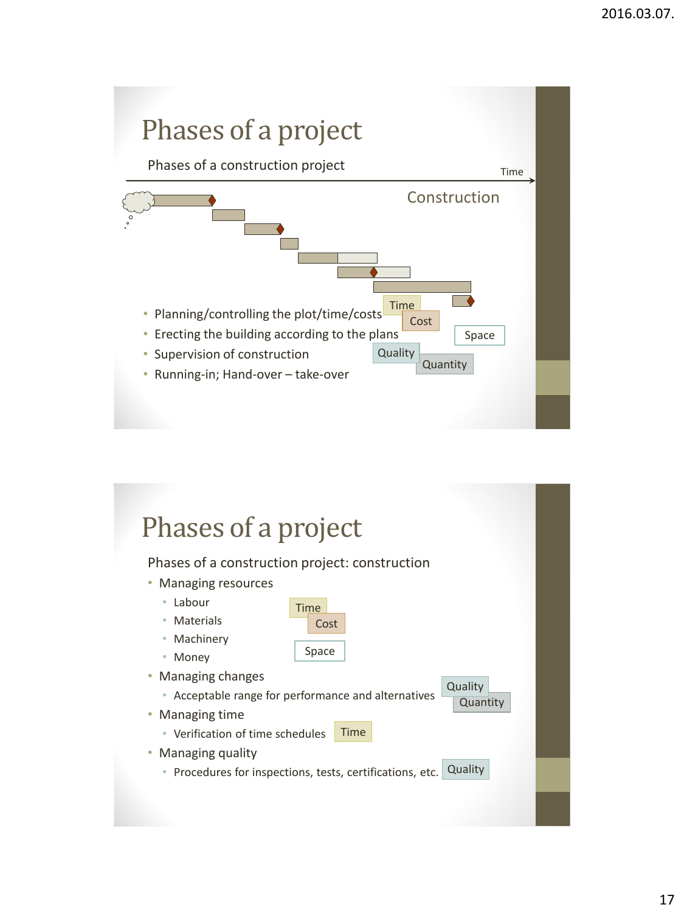

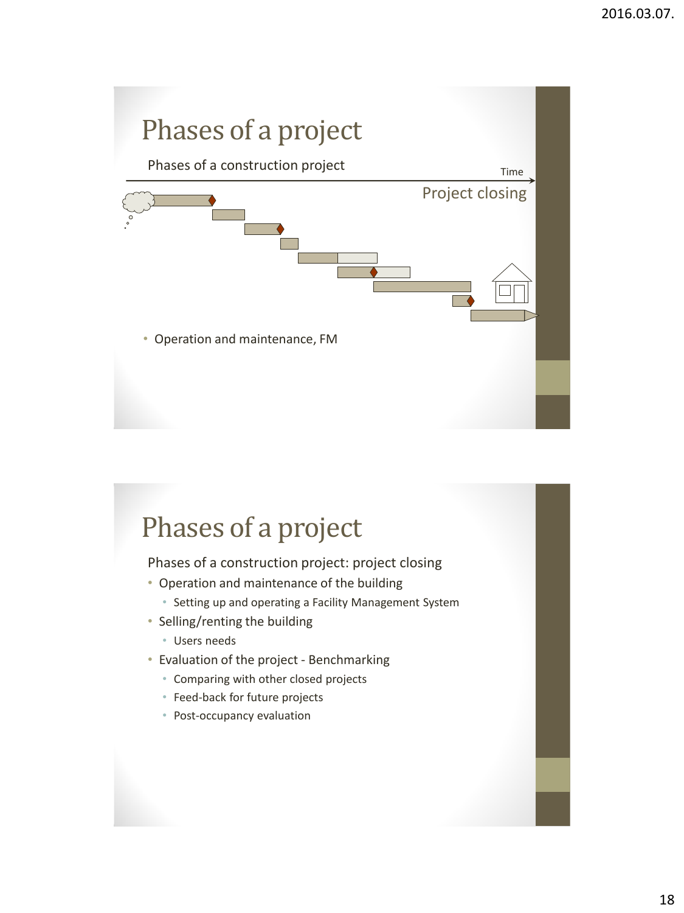

Phases of a construction project: project closing

- Operation and maintenance of the building
	- Setting up and operating a Facility Management System
- Selling/renting the building
	- Users needs
- Evaluation of the project Benchmarking
	- Comparing with other closed projects
	- Feed-back for future projects
	- Post-occupancy evaluation